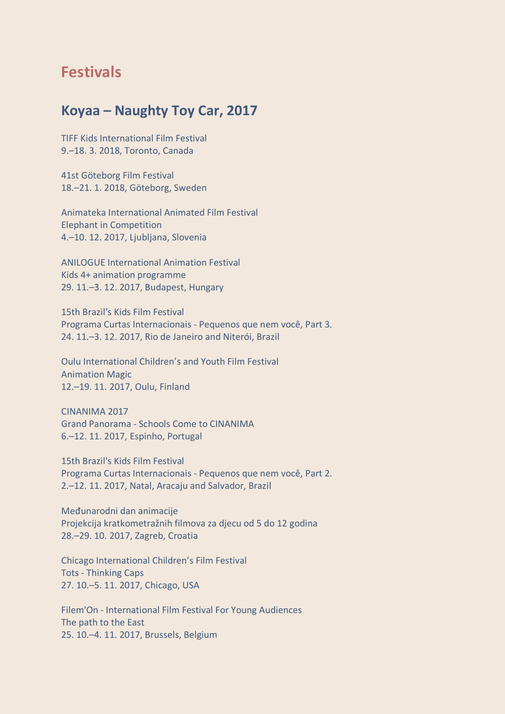# **Festivals**

### **Koyaa – Naughty Toy Car, 2017**

TIFF Kids International Film Festival 9.–18. 3. 2018, Toronto, Canada

41st Göteborg Film Festival 18.–21. 1. 2018, Göteborg, Sweden

Animateka International Animated Film Festival Elephant in Competition 4.–10. 12. 2017, Ljubljana, Slovenia

ANILOGUE International Animation Festival Kids 4+ animation programme 29. 11.–3. 12. 2017, Budapest, Hungary

15th Brazil's Kids Film Festival Programa Curtas Internacionais - Pequenos que nem você, Part 3. 24. 11.–3. 12. 2017, Rio de Janeiro and Niterói, Brazil

Oulu International Children's and Youth Film Festival Animation Magic 12.–19. 11. 2017, Oulu, Finland

CINANIMA 2017 Grand Panorama - Schools Come to CINANIMA 6.–12. 11. 2017, Espinho, Portugal

15th Brazil's Kids Film Festival Programa Curtas Internacionais - Pequenos que nem você, Part 2. 2.–12. 11. 2017, Natal, Aracaju and Salvador, Brazil

Međunarodni dan animacije Projekcija kratkometražnih filmova za djecu od 5 do 12 godina 28.–29. 10. 2017, Zagreb, Croatia

Chicago International Children's Film Festival Tots - Thinking Caps 27. 10.–5. 11. 2017, Chicago, USA

Filem'On - International Film Festival For Young Audiences The path to the East 25. 10.–4. 11. 2017, Brussels, Belgium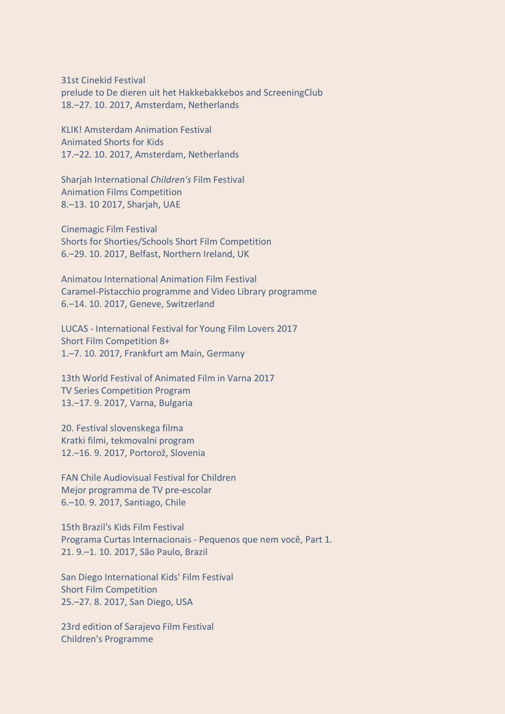31st Cinekid Festival prelude to De dieren uit het Hakkebakkebos and ScreeningClub 18.–27. 10. 2017, Amsterdam, Netherlands

KLIK! Amsterdam Animation Festival Animated Shorts for Kids 17.–22. 10. 2017, Amsterdam, Netherlands

Sharjah International *Children's* Film Festival Animation Films Competition 8.–13. 10 2017, Sharjah, UAE

Cinemagic Film Festival Shorts for Shorties/Schools Short Film Competition 6.–29. 10. 2017, Belfast, Northern Ireland, UK

Animatou International Animation Film Festival Caramel-Pistacchio programme and Video Library programme 6.–14. 10. 2017, Geneve, Switzerland

LUCAS - International Festival for Young Film Lovers 2017 Short Film Competition 8+ 1.–7. 10. 2017, Frankfurt am Main, Germany

13th World Festival of Animated Film in Varna 2017 TV Series Competition Program 13.–17. 9. 2017, Varna, Bulgaria

20. Festival slovenskega filma Kratki filmi, tekmovalni program 12.–16. 9. 2017, Portorož, Slovenia

FAN Chile Audiovisual Festival for Children Mejor programma de TV pre-escolar 6.–10. 9. 2017, Santiago, Chile

15th Brazil's Kids Film Festival Programa Curtas Internacionais - Pequenos que nem você, Part 1. 21. 9.–1. 10. 2017, São Paulo, Brazil

San Diego International Kids' Film Festival Short Film Competition 25.–27. 8. 2017, San Diego, USA

23rd edition of Sarajevo Film Festival Children's Programme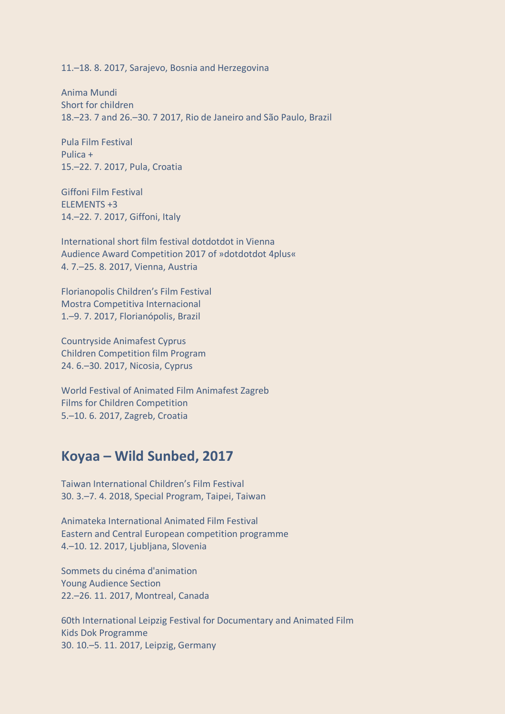11.–18. 8. 2017, Sarajevo, Bosnia and Herzegovina

Anima Mundi Short for children 18.–23. 7 and 26.–30. 7 2017, Rio de Janeiro and São Paulo, Brazil

Pula Film Festival Pulica + 15.–22. 7. 2017, Pula, Croatia

Giffoni Film Festival ELEMENTS +3 14.–22. 7. 2017, Giffoni, Italy

International short film festival dotdotdot in Vienna Audience Award Competition 2017 of »dotdotdot 4plus« 4. 7.–25. 8. 2017, Vienna, Austria

Florianopolis Children's Film Festival Mostra Competitiva Internacional 1.–9. 7. 2017, Florianópolis, Brazil

Countryside Animafest Cyprus Children Competition film Program 24. 6.–30. 2017, Nicosia, Cyprus

World Festival of Animated Film Animafest Zagreb Films for Children Competition 5.–10. 6. 2017, Zagreb, Croatia

### **Koyaa – Wild Sunbed, 2017**

Taiwan International Children's Film Festival 30. 3.–7. 4. 2018, Special Program, Taipei, Taiwan

Animateka International Animated Film Festival Eastern and Central European competition programme 4.–10. 12. 2017, Ljubljana, Slovenia

Sommets du cinéma d'animation Young Audience Section 22.–26. 11. 2017, Montreal, Canada

60th International Leipzig Festival for Documentary and Animated Film Kids Dok Programme 30. 10.–5. 11. 2017, Leipzig, Germany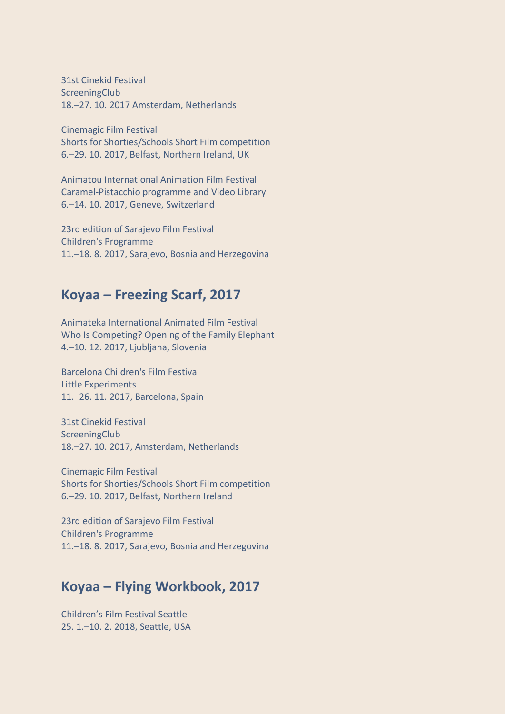31st Cinekid Festival **ScreeningClub** 18.–27. 10. 2017 Amsterdam, Netherlands

Cinemagic Film Festival Shorts for Shorties/Schools Short Film competition 6.–29. 10. 2017, Belfast, Northern Ireland, UK

Animatou International Animation Film Festival Caramel-Pistacchio programme and Video Library 6.–14. 10. 2017, Geneve, Switzerland

23rd edition of Sarajevo Film Festival Children's Programme 11.–18. 8. 2017, Sarajevo, Bosnia and Herzegovina

# **Koyaa – Freezing Scarf, 2017**

Animateka International Animated Film Festival Who Is Competing? Opening of the Family Elephant 4.–10. 12. 2017, Ljubljana, Slovenia

Barcelona Children's Film Festival Little Experiments 11.–26. 11. 2017, Barcelona, Spain

31st Cinekid Festival **ScreeningClub** 18.–27. 10. 2017, Amsterdam, Netherlands

Cinemagic Film Festival Shorts for Shorties/Schools Short Film competition 6.–29. 10. 2017, Belfast, Northern Ireland

23rd edition of Sarajevo Film Festival Children's Programme 11.–18. 8. 2017, Sarajevo, Bosnia and Herzegovina

### **Koyaa – Flying Workbook, 2017**

Children's Film Festival Seattle 25. 1.–10. 2. 2018, Seattle, USA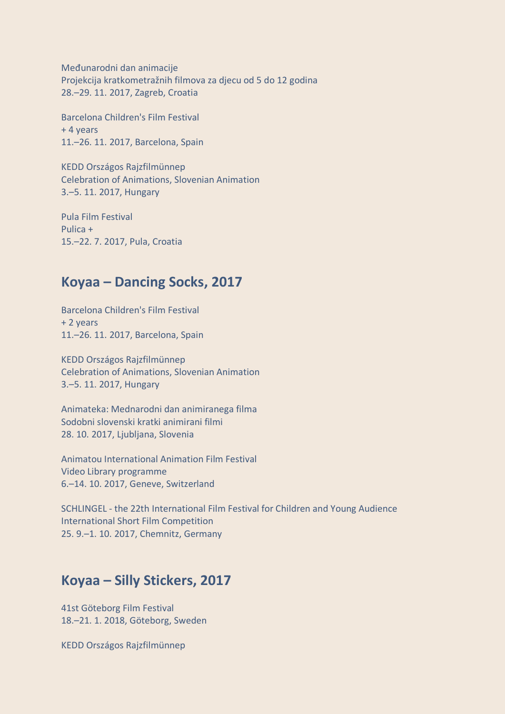Međunarodni dan animacije Projekcija kratkometražnih filmova za djecu od 5 do 12 godina 28.–29. 11. 2017, Zagreb, Croatia

Barcelona Children's Film Festival + 4 years 11.–26. 11. 2017, Barcelona, Spain

KEDD Országos Rajzfilmünnep Celebration of Animations, Slovenian Animation 3.–5. 11. 2017, Hungary

Pula Film Festival Pulica + 15.–22. 7. 2017, Pula, Croatia

### **Koyaa – Dancing Socks, 2017**

Barcelona Children's Film Festival + 2 years 11.–26. 11. 2017, Barcelona, Spain

KEDD Országos Rajzfilmünnep Celebration of Animations, Slovenian Animation 3.–5. 11. 2017, Hungary

Animateka: Mednarodni dan animiranega filma Sodobni slovenski kratki animirani filmi 28. 10. 2017, Ljubljana, Slovenia

Animatou International Animation Film Festival Video Library programme 6.–14. 10. 2017, Geneve, Switzerland

SCHLINGEL - the 22th International Film Festival for Children and Young Audience International Short Film Competition 25. 9.–1. 10. 2017, Chemnitz, Germany

# **Koyaa – Silly Stickers, 2017**

41st Göteborg Film Festival 18.–21. 1. 2018, Göteborg, Sweden

KEDD Országos Rajzfilmünnep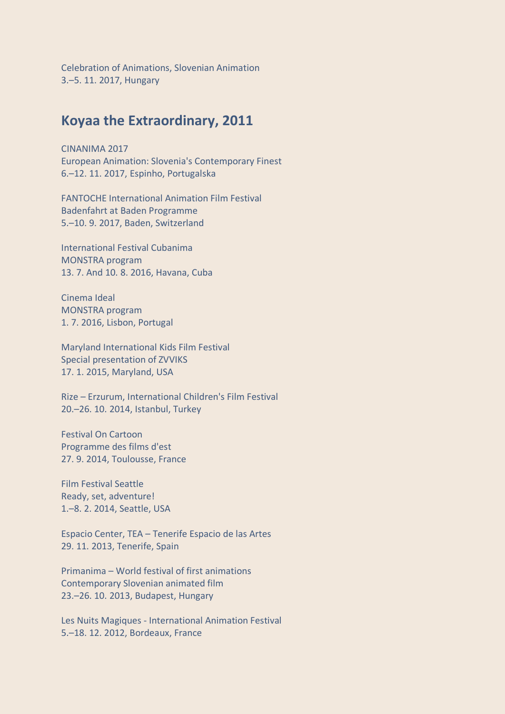Celebration of Animations, Slovenian Animation 3.–5. 11. 2017, Hungary

#### **Koyaa the Extraordinary, 2011**

CINANIMA 2017 European Animation: Slovenia's Contemporary Finest 6.–12. 11. 2017, Espinho, Portugalska

FANTOCHE International Animation Film Festival Badenfahrt at Baden Programme 5.–10. 9. 2017, Baden, Switzerland

International Festival Cubanima MONSTRA program 13. 7. And 10. 8. 2016, Havana, Cuba

Cinema Ideal MONSTRA program 1. 7. 2016, Lisbon, Portugal

Maryland International Kids Film Festival Special presentation of ZVVIKS 17. 1. 2015, Maryland, USA

Rize – Erzurum, International Children's Film Festival 20.–26. 10. 2014, Istanbul, Turkey

Festival On Cartoon Programme des films d'est 27. 9. 2014, Toulousse, France

Film Festival Seattle Ready, set, adventure! 1.–8. 2. 2014, Seattle, USA

Espacio Center, TEA – Tenerife Espacio de las Artes 29. 11. 2013, Tenerife, Spain

Primanima – World festival of first animations Contemporary Slovenian animated film 23.–26. 10. 2013, Budapest, Hungary

Les Nuits Magiques - International Animation Festival 5.–18. 12. 2012, Bordeaux, France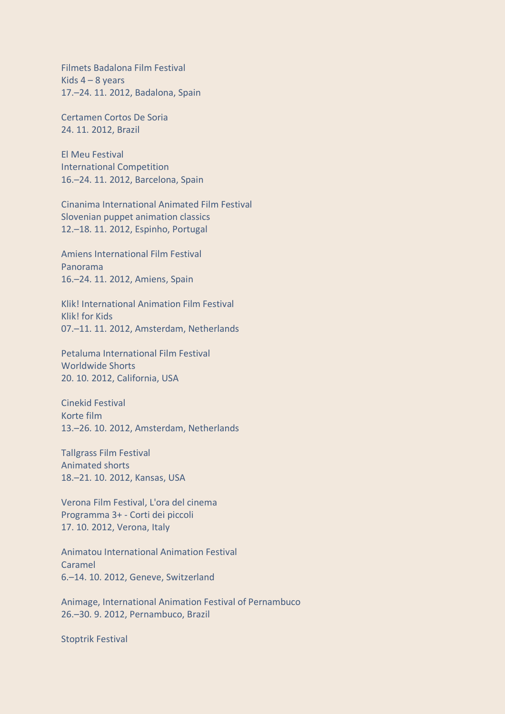Filmets Badalona Film Festival Kids  $4 - 8$  years 17.–24. 11. 2012, Badalona, Spain

Certamen Cortos De Soria 24. 11. 2012, Brazil

El Meu Festival International Competition 16.–24. 11. 2012, Barcelona, Spain

Cinanima International Animated Film Festival Slovenian puppet animation classics 12.–18. 11. 2012, Espinho, Portugal

Amiens International Film Festival Panorama 16.–24. 11. 2012, Amiens, Spain

Klik! International Animation Film Festival Klik! for Kids 07.–11. 11. 2012, Amsterdam, Netherlands

Petaluma International Film Festival Worldwide Shorts 20. 10. 2012, California, USA

Cinekid Festival Korte film 13.–26. 10. 2012, Amsterdam, Netherlands

Tallgrass Film Festival Animated shorts 18.–21. 10. 2012, Kansas, USA

Verona Film Festival, L'ora del cinema Programma 3+ - Corti dei piccoli 17. 10. 2012, Verona, Italy

Animatou International Animation Festival Caramel 6.–14. 10. 2012, Geneve, Switzerland

Animage, International Animation Festival of Pernambuco 26.–30. 9. 2012, Pernambuco, Brazil

Stoptrik Festival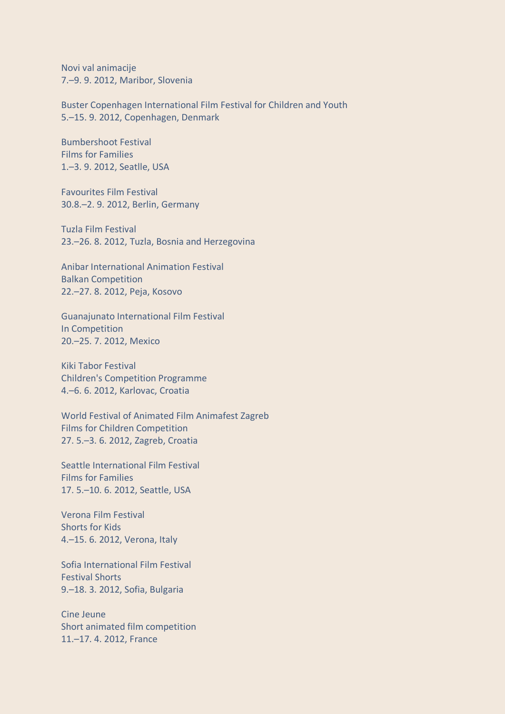Novi val animacije 7.–9. 9. 2012, Maribor, Slovenia

Buster Copenhagen International Film Festival for Children and Youth 5.–15. 9. 2012, Copenhagen, Denmark

Bumbershoot Festival Films for Families 1.–3. 9. 2012, Seatlle, USA

Favourites Film Festival 30.8.–2. 9. 2012, Berlin, Germany

Tuzla Film Festival 23.–26. 8. 2012, Tuzla, Bosnia and Herzegovina

Anibar International Animation Festival Balkan Competition 22.–27. 8. 2012, Peja, Kosovo

Guanajunato International Film Festival In Competition 20.–25. 7. 2012, Mexico

Kiki Tabor Festival Children's Competition Programme 4.–6. 6. 2012, Karlovac, Croatia

World Festival of Animated Film Animafest Zagreb Films for Children Competition 27. 5.–3. 6. 2012, Zagreb, Croatia

Seattle International Film Festival Films for Families 17. 5.–10. 6. 2012, Seattle, USA

Verona Film Festival Shorts for Kids 4.–15. 6. 2012, Verona, Italy

Sofia International Film Festival Festival Shorts 9.–18. 3. 2012, Sofia, Bulgaria

Cine Jeune Short animated film competition 11.–17. 4. 2012, France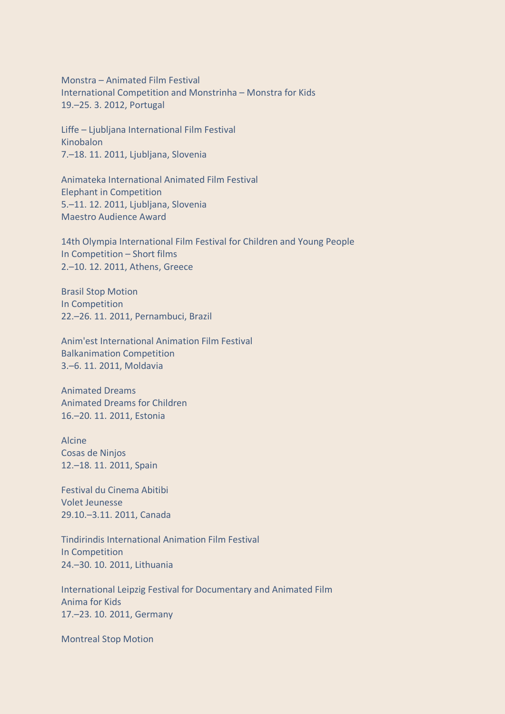Monstra – Animated Film Festival International Competition and Monstrinha – Monstra for Kids 19.–25. 3. 2012, Portugal

Liffe – Ljubljana International Film Festival Kinobalon 7.–18. 11. 2011, Ljubljana, Slovenia

Animateka International Animated Film Festival Elephant in Competition 5.–11. 12. 2011, Ljubljana, Slovenia Maestro Audience Award

14th Olympia International Film Festival for Children and Young People In Competition – Short films 2.–10. 12. 2011, Athens, Greece

Brasil Stop Motion In Competition 22.–26. 11. 2011, Pernambuci, Brazil

Anim'est International Animation Film Festival Balkanimation Competition 3.–6. 11. 2011, Moldavia

Animated Dreams Animated Dreams for Children 16.–20. 11. 2011, Estonia

Alcine Cosas de Ninjos 12.–18. 11. 2011, Spain

Festival du Cinema Abitibi Volet Jeunesse 29.10.–3.11. 2011, Canada

Tindirindis International Animation Film Festival In Competition 24.–30. 10. 2011, Lithuania

International Leipzig Festival for Documentary and Animated Film Anima for Kids 17.–23. 10. 2011, Germany

Montreal Stop Motion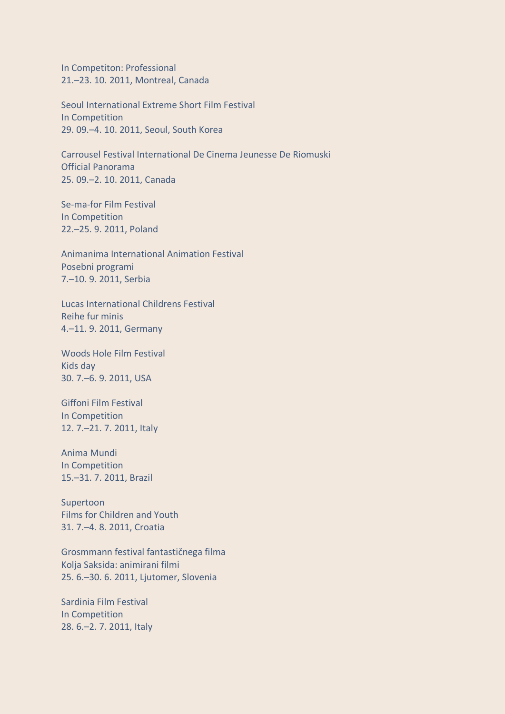In Competiton: Professional 21.–23. 10. 2011, Montreal, Canada

Seoul International Extreme Short Film Festival In Competition 29. 09.–4. 10. 2011, Seoul, South Korea

Carrousel Festival International De Cinema Jeunesse De Riomuski Official Panorama 25. 09.–2. 10. 2011, Canada

Se-ma-for Film Festival In Competition 22.–25. 9. 2011, Poland

Animanima International Animation Festival Posebni programi 7.–10. 9. 2011, Serbia

Lucas International Childrens Festival Reihe fur minis 4.–11. 9. 2011, Germany

Woods Hole Film Festival Kids day 30. 7.–6. 9. 2011, USA

Giffoni Film Festival In Competition 12. 7.–21. 7. 2011, Italy

Anima Mundi In Competition 15.–31. 7. 2011, Brazil

Supertoon Films for Children and Youth 31. 7.–4. 8. 2011, Croatia

Grosmmann festival fantastičnega filma Kolja Saksida: animirani filmi 25. 6.–30. 6. 2011, Ljutomer, Slovenia

Sardinia Film Festival In Competition 28. 6.–2. 7. 2011, Italy